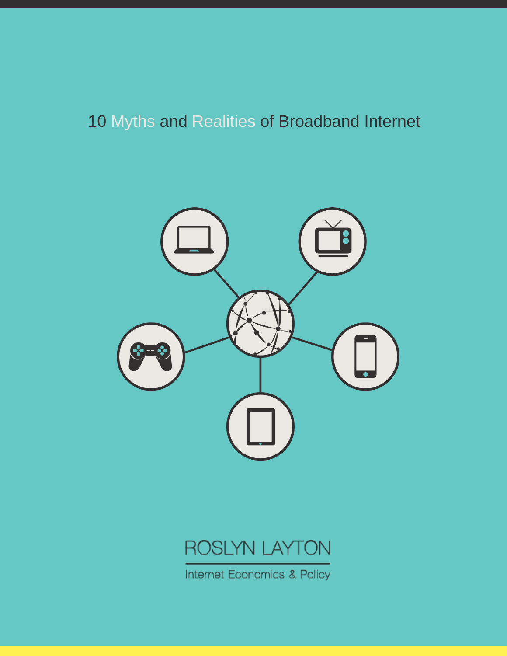# 10 Myths and Realities of Broadband Internet





Internet Economics & Policy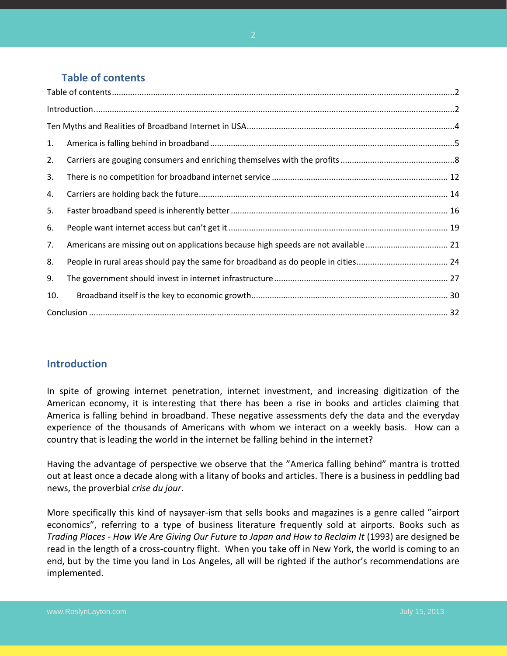## **Table of contents**

<span id="page-1-0"></span>

| 1.  |                                                                                    |  |  |
|-----|------------------------------------------------------------------------------------|--|--|
| 2.  |                                                                                    |  |  |
| 3.  |                                                                                    |  |  |
| 4.  |                                                                                    |  |  |
| 5.  |                                                                                    |  |  |
| 6.  |                                                                                    |  |  |
| 7.  | Americans are missing out on applications because high speeds are not available 21 |  |  |
| 8.  |                                                                                    |  |  |
| 9.  |                                                                                    |  |  |
| 10. |                                                                                    |  |  |
|     |                                                                                    |  |  |

## <span id="page-1-1"></span>**Introduction**

In spite of growing internet penetration, internet investment, and increasing digitization of the American economy, it is interesting that there has been a rise in books and articles claiming that America is falling behind in broadband. These negative assessments defy the data and the everyday experience of the thousands of Americans with whom we interact on a weekly basis. How can a country that is leading the world in the internet be falling behind in the internet?

Having the advantage of perspective we observe that the "America falling behind" mantra is trotted out at least once a decade along with a litany of books and articles. There is a business in peddling bad news, the proverbial *crise du jour*.

More specifically this kind of naysayer-ism that sells books and magazines is a genre called "airport economics", referring to a type of business literature frequently sold at airports. Books such as *Trading Places - How We Are Giving Our Future to Japan and How to Reclaim It (1993) are designed be* read in the length of a cross-country flight. When you take off in New York, the world is coming to an end, but by the time you land in Los Angeles, all will be righted if the author's recommendations are implemented.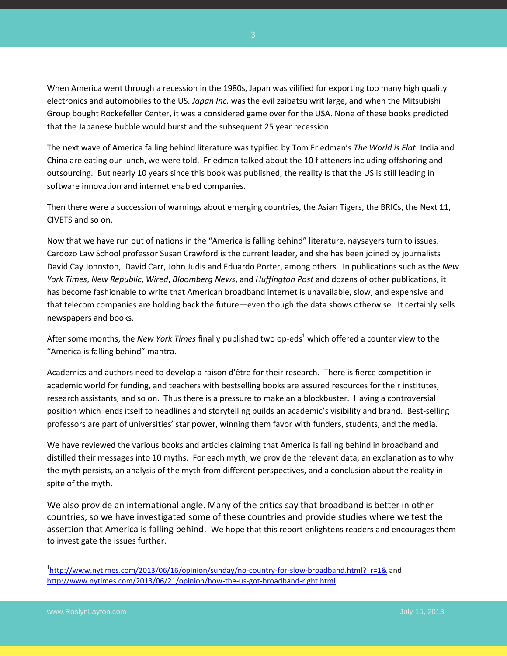When America went through a recession in the 1980s, Japan was vilified for exporting too many high quality electronics and automobiles to the US. *Japan Inc.* was the evil zaibatsu writ large, and when the Mitsubishi Group bought Rockefeller Center, it was a considered game over for the USA. None of these books predicted that the Japanese bubble would burst and the subsequent 25 year recession.

The next wave of America falling behind literature was typified by Tom Friedman's *The World is Flat*. India and China are eating our lunch, we were told. Friedman talked about the 10 flatteners including offshoring and outsourcing. But nearly 10 years since this book was published, the reality is that the US is still leading in software innovation and internet enabled companies.

Then there were a succession of warnings about emerging countries, the Asian Tigers, the BRICs, the Next 11, CIVETS and so on.

Now that we have run out of nations in the "America is falling behind" literature, naysayers turn to issues. Cardozo Law School professor Susan Crawford is the current leader, and she has been joined by journalists David Cay Johnston, David Carr, John Judis and Eduardo Porter, among others. In publications such as the *New York Times*, *New Republic*, *Wired*, *Bloomberg News*, and *Huffington Post* and dozens of other publications, it has become fashionable to write that American broadband internet is unavailable, slow, and expensive and that telecom companies are holding back the future—even though the data shows otherwise. It certainly sells newspapers and books.

After some months, the *New York Times* finally published two op-eds <sup>1</sup> which offered a counter view to the "America is falling behind" mantra.

Academics and authors need to develop a raison d'être for their research. There is fierce competition in academic world for funding, and teachers with bestselling books are assured resources for their institutes, research assistants, and so on. Thus there is a pressure to make an a blockbuster. Having a controversial position which lends itself to headlines and storytelling builds an academic's visibility and brand. Best-selling professors are part of universities' star power, winning them favor with funders, students, and the media.

We have reviewed the various books and articles claiming that America is falling behind in broadband and distilled their messages into 10 myths. For each myth, we provide the relevant data, an explanation as to why the myth persists, an analysis of the myth from different perspectives, and a conclusion about the reality in spite of the myth.

We also provide an international angle. Many of the critics say that broadband is better in other countries, so we have investigated some of these countries and provide studies where we test the assertion that America is falling behind. We hope that this report enlightens readers and encourages them to investigate the issues further.

 $\overline{\phantom{a}}$ 

<sup>&</sup>lt;sup>1</sup>[http://www.nytimes.com/2013/06/16/opinion/sunday/no-country-for-slow-broadband.html?\\_r=1&](http://www.nytimes.com/2013/06/16/opinion/sunday/no-country-for-slow-broadband.html?_r=1&) and <http://www.nytimes.com/2013/06/21/opinion/how-the-us-got-broadband-right.html>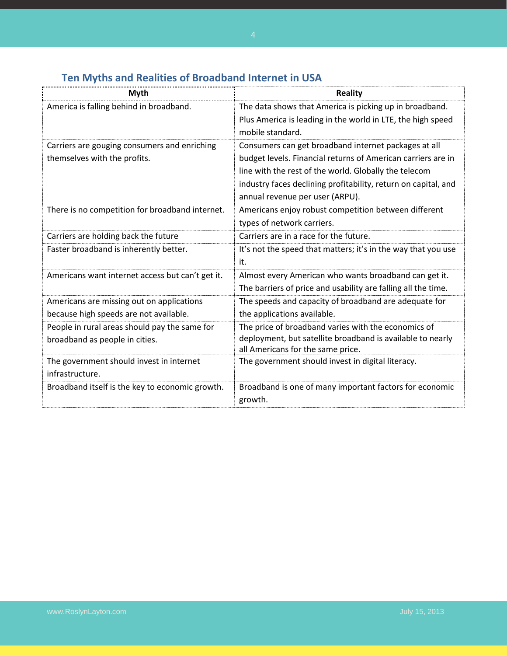<span id="page-3-0"></span>

| <b>Myth</b>                                      | <b>Reality</b>                                                 |
|--------------------------------------------------|----------------------------------------------------------------|
| America is falling behind in broadband.          | The data shows that America is picking up in broadband.        |
|                                                  | Plus America is leading in the world in LTE, the high speed    |
|                                                  | mobile standard.                                               |
| Carriers are gouging consumers and enriching     | Consumers can get broadband internet packages at all           |
| themselves with the profits.                     | budget levels. Financial returns of American carriers are in   |
|                                                  | line with the rest of the world. Globally the telecom          |
|                                                  | industry faces declining profitability, return on capital, and |
|                                                  | annual revenue per user (ARPU).                                |
| There is no competition for broadband internet.  | Americans enjoy robust competition between different           |
|                                                  | types of network carriers.                                     |
| Carriers are holding back the future             | Carriers are in a race for the future.                         |
| Faster broadband is inherently better.           | It's not the speed that matters; it's in the way that you use  |
|                                                  | it.                                                            |
| Americans want internet access but can't get it. | Almost every American who wants broadband can get it.          |
|                                                  | The barriers of price and usability are falling all the time.  |
| Americans are missing out on applications        | The speeds and capacity of broadband are adequate for          |
| because high speeds are not available.           | the applications available.                                    |
| People in rural areas should pay the same for    | The price of broadband varies with the economics of            |
| broadband as people in cities.                   | deployment, but satellite broadband is available to nearly     |
|                                                  | all Americans for the same price.                              |
| The government should invest in internet         | The government should invest in digital literacy.              |
| infrastructure.                                  |                                                                |
| Broadband itself is the key to economic growth.  | Broadband is one of many important factors for economic        |
|                                                  | growth.                                                        |

## **Ten Myths and Realities of Broadband Internet in USA**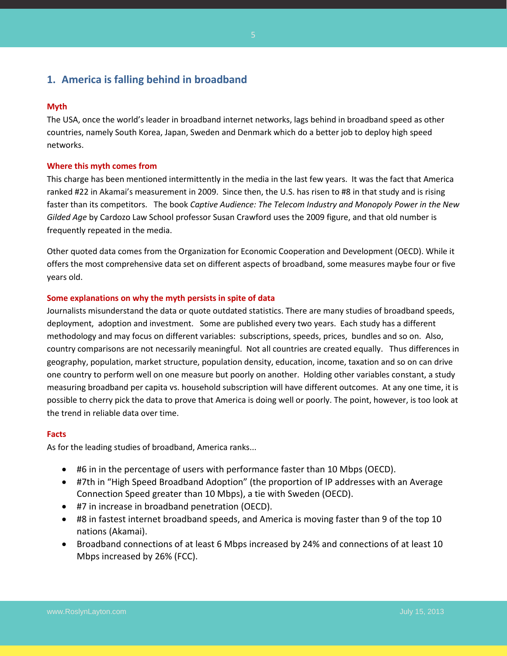## <span id="page-4-0"></span>**1. America is falling behind in broadband**

#### **Myth**

The USA, once the world's leader in broadband internet networks, lags behind in broadband speed as other countries, namely South Korea, Japan, Sweden and Denmark which do a better job to deploy high speed networks.

#### **Where this myth comes from**

This charge has been mentioned intermittently in the media in the last few years. It was the fact that America ranked #22 in Akamai's measurement in 2009. Since then, the U.S. has risen to #8 in that study and is rising faster than its competitors. The book *Captive Audience: The Telecom Industry and Monopoly Power in the New Gilded Age* by Cardozo Law School professor Susan Crawford uses the 2009 figure, and that old number is frequently repeated in the media.

Other quoted data comes from the Organization for Economic Cooperation and Development (OECD). While it offers the most comprehensive data set on different aspects of broadband, some measures maybe four or five years old.

#### **Some explanations on why the myth persists in spite of data**

Journalists misunderstand the data or quote outdated statistics. There are many studies of broadband speeds, deployment, adoption and investment. Some are published every two years. Each study has a different methodology and may focus on different variables: subscriptions, speeds, prices, bundles and so on. Also, country comparisons are not necessarily meaningful. Not all countries are created equally. Thus differences in geography, population, market structure, population density, education, income, taxation and so on can drive one country to perform well on one measure but poorly on another. Holding other variables constant, a study measuring broadband per capita vs. household subscription will have different outcomes. At any one time, it is possible to cherry pick the data to prove that America is doing well or poorly. The point, however, is too look at the trend in reliable data over time.

#### **Facts**

As for the leading studies of broadband, America ranks...

- #6 in in the percentage of users with performance faster than 10 Mbps (OECD).
- #7th in "High Speed Broadband Adoption" (the proportion of IP addresses with an Average Connection Speed greater than 10 Mbps), a tie with Sweden (OECD).
- #7 in increase in broadband penetration (OECD).
- #8 in fastest internet broadband speeds, and America is moving faster than 9 of the top 10 nations (Akamai).
- Broadband connections of at least 6 Mbps increased by 24% and connections of at least 10 Mbps increased by 26% (FCC).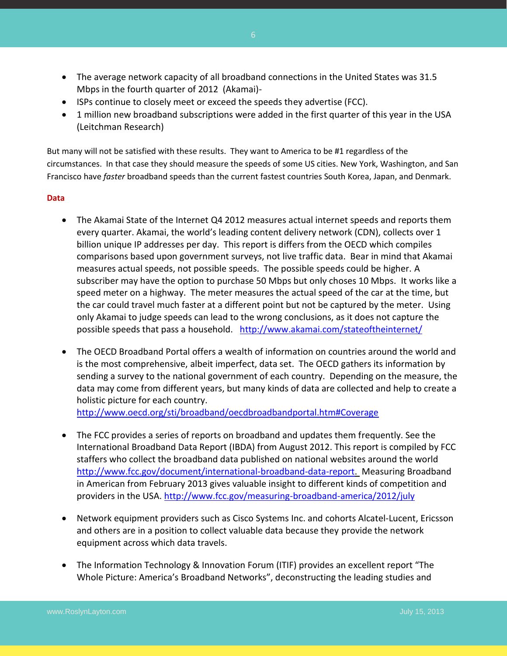- The average network capacity of all broadband connections in the United States was 31.5 Mbps in the fourth quarter of 2012 (Akamai)-
- ISPs continue to closely meet or exceed the speeds they advertise (FCC).
- 1 million new broadband subscriptions were added in the first quarter of this year in the USA (Leitchman Research)

But many will not be satisfied with these results. They want to America to be #1 regardless of the circumstances. In that case they should measure the speeds of some US cities. New York, Washington, and San Francisco have *faster* broadband speeds than the current fastest countries South Korea, Japan, and Denmark.

#### **Data**

- The Akamai State of the Internet Q4 2012 measures actual internet speeds and reports them every quarter. Akamai, the world's leading content delivery network (CDN), collects over 1 billion unique IP addresses per day. This report is differs from the OECD which compiles comparisons based upon government surveys, not live traffic data. Bear in mind that Akamai measures actual speeds, not possible speeds. The possible speeds could be higher. A subscriber may have the option to purchase 50 Mbps but only choses 10 Mbps. It works like a speed meter on a highway. The meter measures the actual speed of the car at the time, but the car could travel much faster at a different point but not be captured by the meter. Using only Akamai to judge speeds can lead to the wrong conclusions, as it does not capture the possible speeds that pass a household. <http://www.akamai.com/stateoftheinternet/>
- The OECD Broadband Portal offers a wealth of information on countries around the world and is the most comprehensive, albeit imperfect, data set. The OECD gathers its information by sending a survey to the national government of each country. Depending on the measure, the data may come from different years, but many kinds of data are collected and help to create a holistic picture for each country.

<http://www.oecd.org/sti/broadband/oecdbroadbandportal.htm#Coverage>

- The FCC provides a series of reports on broadband and updates them frequently. See the International Broadband Data Report (IBDA) from August 2012. This report is compiled by FCC staffers who collect the broadband data published on national websites around the world [http://www.fcc.gov/document/international-broadband-data-report.](http://www.fcc.gov/document/international-broadband-data-report) Measuring Broadband in American from February 2013 gives valuable insight to different kinds of competition and providers in the USA.<http://www.fcc.gov/measuring-broadband-america/2012/july>
- Network equipment providers such as Cisco Systems Inc. and cohorts Alcatel-Lucent, Ericsson and others are in a position to collect valuable data because they provide the network equipment across which data travels.
- The Information Technology & Innovation Forum (ITIF) provides an excellent report "The Whole Picture: America's Broadband Networks", deconstructing the leading studies and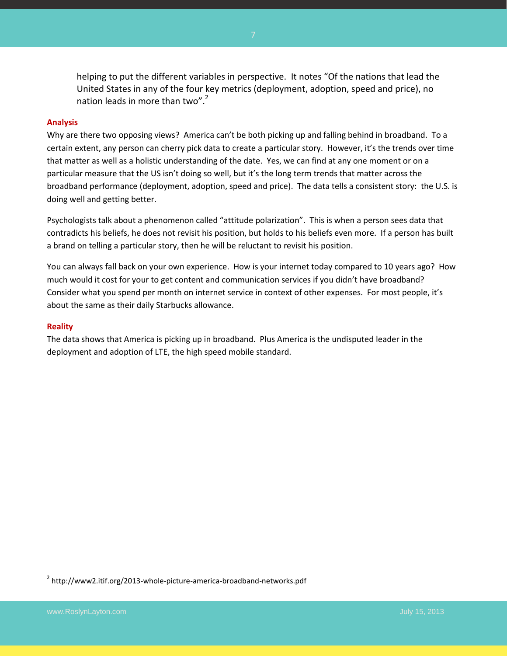helping to put the different variables in perspective. It notes "Of the nations that lead the United States in any of the four key metrics (deployment, adoption, speed and price), no nation leads in more than two".<sup>2</sup>

#### **Analysis**

Why are there two opposing views? America can't be both picking up and falling behind in broadband. To a certain extent, any person can cherry pick data to create a particular story. However, it's the trends over time that matter as well as a holistic understanding of the date. Yes, we can find at any one moment or on a particular measure that the US isn't doing so well, but it's the long term trends that matter across the broadband performance (deployment, adoption, speed and price). The data tells a consistent story: the U.S. is doing well and getting better.

Psychologists talk about a phenomenon called "attitude polarization". This is when a person sees data that contradicts his beliefs, he does not revisit his position, but holds to his beliefs even more. If a person has built a brand on telling a particular story, then he will be reluctant to revisit his position.

You can always fall back on your own experience. How is your internet today compared to 10 years ago? How much would it cost for your to get content and communication services if you didn't have broadband? Consider what you spend per month on internet service in context of other expenses. For most people, it's about the same as their daily Starbucks allowance.

#### **Reality**

The data shows that America is picking up in broadband. Plus America is the undisputed leader in the deployment and adoption of LTE, the high speed mobile standard.

 2 http://www2.itif.org/2013-whole-picture-america-broadband-networks.pdf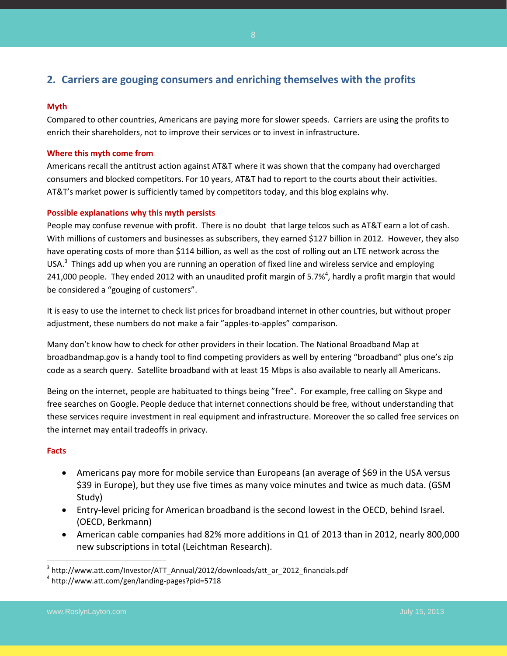## <span id="page-7-0"></span>**2. Carriers are gouging consumers and enriching themselves with the profits**

#### **Myth**

Compared to other countries, Americans are paying more for slower speeds. Carriers are using the profits to enrich their shareholders, not to improve their services or to invest in infrastructure.

#### **Where this myth come from**

Americans recall the antitrust action against AT&T where it was shown that the company had overcharged consumers and blocked competitors. For 10 years, AT&T had to report to the courts about their activities. AT&T's market power is sufficiently tamed by competitors today, and this blog explains why.

#### **Possible explanations why this myth persists**

People may confuse revenue with profit. There is no doubt that large telcos such as AT&T earn a lot of cash. With millions of customers and businesses as subscribers, they earned \$127 billion in 2012. However, they also have operating costs of more than \$114 billion, as well as the cost of rolling out an LTE network across the USA.<sup>3</sup> Things add up when you are running an operation of fixed line and wireless service and employing 241,000 people. They ended 2012 with an unaudited profit margin of 5.7%<sup>4</sup>, hardly a profit margin that would be considered a "gouging of customers".

It is easy to use the internet to check list prices for broadband internet in other countries, but without proper adjustment, these numbers do not make a fair "apples-to-apples" comparison.

Many don't know how to check for other providers in their location. The National Broadband Map at broadbandmap.gov is a handy tool to find competing providers as well by entering "broadband" plus one's zip code as a search query. Satellite broadband with at least 15 Mbps is also available to nearly all Americans.

Being on the internet, people are habituated to things being "free". For example, free calling on Skype and free searches on Google. People deduce that internet connections should be free, without understanding that these services require investment in real equipment and infrastructure. Moreover the so called free services on the internet may entail tradeoffs in privacy.

#### **Facts**

 $\overline{\phantom{a}}$ 

- Americans pay more for mobile service than Europeans (an average of \$69 in the USA versus \$39 in Europe), but they use five times as many voice minutes and twice as much data. (GSM Study)
- Entry-level pricing for American broadband is the second lowest in the OECD, behind Israel. (OECD, Berkmann)
- American cable companies had 82% more additions in Q1 of 2013 than in 2012, nearly 800,000 new subscriptions in total (Leichtman Research).

<sup>&</sup>lt;sup>3</sup> http://www.att.com/Investor/ATT\_Annual/2012/downloads/att\_ar\_2012\_financials.pdf

<sup>4</sup> http://www.att.com/gen/landing-pages?pid=5718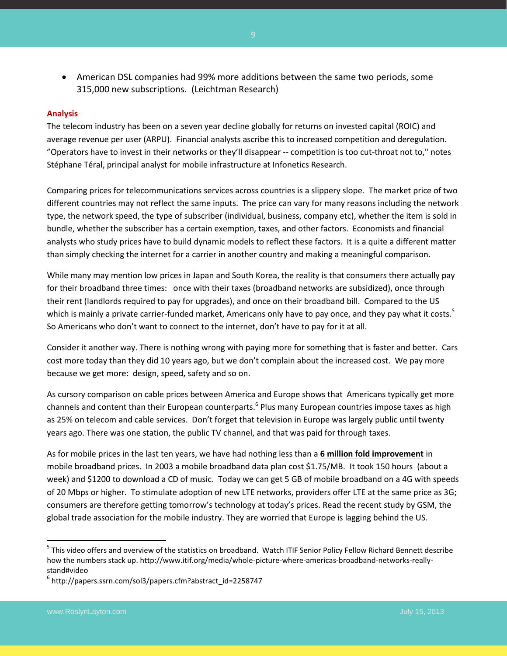American DSL companies had 99% more additions between the same two periods, some 315,000 new subscriptions. (Leichtman Research)

#### **Analysis**

The telecom industry has been on a seven year decline globally for returns on invested capital (ROIC) and average revenue per user (ARPU). Financial analysts ascribe this to increased competition and deregulation. "Operators have to invest in their networks or they'll disappear -- competition is too cut-throat not to," notes Stéphane Téral, principal analyst for mobile infrastructure at Infonetics Research.

Comparing prices for telecommunications services across countries is a slippery slope. The market price of two different countries may not reflect the same inputs. The price can vary for many reasons including the network type, the network speed, the type of subscriber (individual, business, company etc), whether the item is sold in bundle, whether the subscriber has a certain exemption, taxes, and other factors. Economists and financial analysts who study prices have to build dynamic models to reflect these factors. It is a quite a different matter than simply checking the internet for a carrier in another country and making a meaningful comparison.

While many may mention low prices in Japan and South Korea, the reality is that consumers there actually pay for their broadband three times: once with their taxes (broadband networks are subsidized), once through their rent (landlords required to pay for upgrades), and once on their broadband bill. Compared to the US which is mainly a private carrier-funded market, Americans only have to pay once, and they pay what it costs.<sup>5</sup> So Americans who don't want to connect to the internet, don't have to pay for it at all.

Consider it another way. There is nothing wrong with paying more for something that is faster and better. Cars cost more today than they did 10 years ago, but we don't complain about the increased cost. We pay more because we get more: design, speed, safety and so on.

As cursory comparison on cable prices between America and Europe shows that Americans typically get more channels and content than their European counterparts.<sup>6</sup> Plus many European countries impose taxes as high as 25% on telecom and cable services. Don't forget that television in Europe was largely public until twenty years ago. There was one station, the public TV channel, and that was paid for through taxes.

As for mobile prices in the last ten years, we have had nothing less than a **6 million fold improvement** in mobile broadband prices. In 2003 a mobile broadband data plan cost \$1.75/MB. It took 150 hours (about a week) and \$1200 to download a CD of music. Today we can get 5 GB of mobile broadband on a 4G with speeds of 20 Mbps or higher. To stimulate adoption of new LTE networks, providers offer LTE at the same price as 3G; consumers are therefore getting tomorrow's technology at today's prices. Read the recent study by GSM, the global trade association for the mobile industry. They are worried that Europe is lagging behind the US.

 $\overline{a}$ 

<sup>&</sup>lt;sup>5</sup> This video offers and overview of the statistics on broadband. Watch ITIF Senior Policy Fellow Richard Bennett describe how the numbers stack up. http://www.itif.org/media/whole-picture-where-americas-broadband-networks-reallystand#video

<sup>6</sup> http://papers.ssrn.com/sol3/papers.cfm?abstract\_id=2258747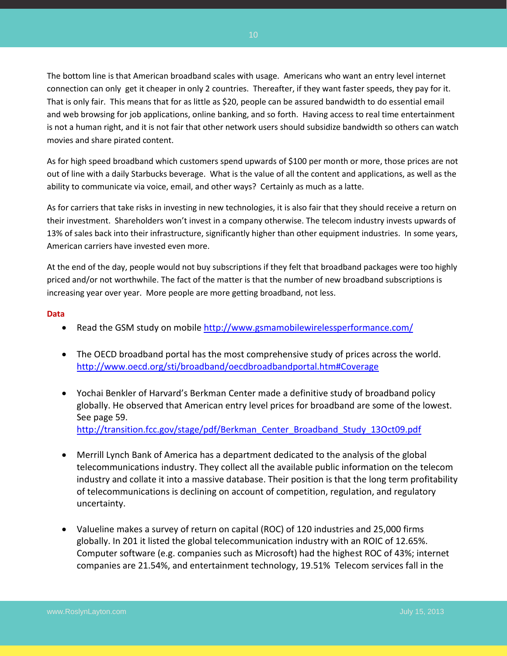The bottom line is that American broadband scales with usage. Americans who want an entry level internet connection can only get it cheaper in only 2 countries. Thereafter, if they want faster speeds, they pay for it. That is only fair. This means that for as little as \$20, people can be assured bandwidth to do essential email and web browsing for job applications, online banking, and so forth. Having access to real time entertainment is not a human right, and it is not fair that other network users should subsidize bandwidth so others can watch movies and share pirated content.

As for high speed broadband which customers spend upwards of \$100 per month or more, those prices are not out of line with a daily Starbucks beverage. What is the value of all the content and applications, as well as the ability to communicate via voice, email, and other ways? Certainly as much as a latte.

As for carriers that take risks in investing in new technologies, it is also fair that they should receive a return on their investment. Shareholders won't invest in a company otherwise. The telecom industry invests upwards of 13% of sales back into their infrastructure, significantly higher than other equipment industries. In some years, American carriers have invested even more.

At the end of the day, people would not buy subscriptions if they felt that broadband packages were too highly priced and/or not worthwhile. The fact of the matter is that the number of new broadband subscriptions is increasing year over year. More people are more getting broadband, not less.

#### **Data**

- Read the GSM study on mobile<http://www.gsmamobilewirelessperformance.com/>
- The OECD broadband portal has the most comprehensive study of prices across the world. <http://www.oecd.org/sti/broadband/oecdbroadbandportal.htm#Coverage>
- Yochai Benkler of Harvard's Berkman Center made a definitive study of broadband policy globally. He observed that American entry level prices for broadband are some of the lowest. See page 59. [http://transition.fcc.gov/stage/pdf/Berkman\\_Center\\_Broadband\\_Study\\_13Oct09.pdf](http://transition.fcc.gov/stage/pdf/Berkman_Center_Broadband_Study_13Oct09.pdf)
- Merrill Lynch Bank of America has a department dedicated to the analysis of the global telecommunications industry. They collect all the available public information on the telecom industry and collate it into a massive database. Their position is that the long term profitability of telecommunications is declining on account of competition, regulation, and regulatory uncertainty.
- Valueline makes a survey of return on capital (ROC) of 120 industries and 25,000 firms globally. In 201 it listed the global telecommunication industry with an ROIC of 12.65%. Computer software (e.g. companies such as Microsoft) had the highest ROC of 43%; internet companies are 21.54%, and entertainment technology, 19.51% Telecom services fall in the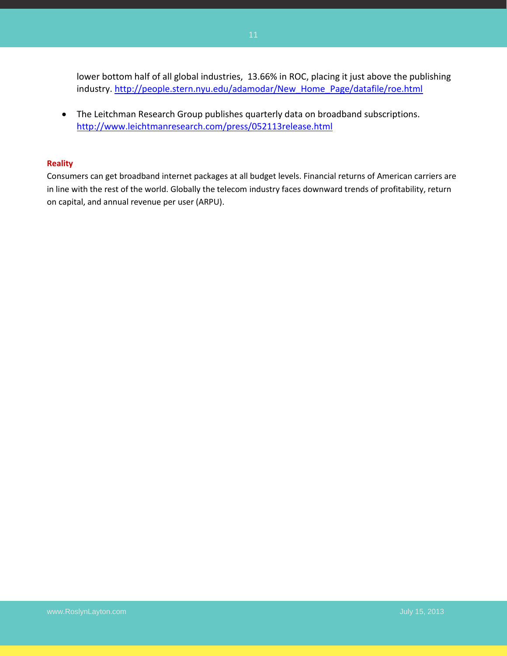lower bottom half of all global industries, 13.66% in ROC, placing it just above the publishing industry. [http://people.stern.nyu.edu/adamodar/New\\_Home\\_Page/datafile/roe.html](http://people.stern.nyu.edu/adamodar/New_Home_Page/datafile/roe.html)

 The Leitchman Research Group publishes quarterly data on broadband subscriptions. <http://www.leichtmanresearch.com/press/052113release.html>

#### **Reality**

Consumers can get broadband internet packages at all budget levels. Financial returns of American carriers are in line with the rest of the world. Globally the telecom industry faces downward trends of profitability, return on capital, and annual revenue per user (ARPU).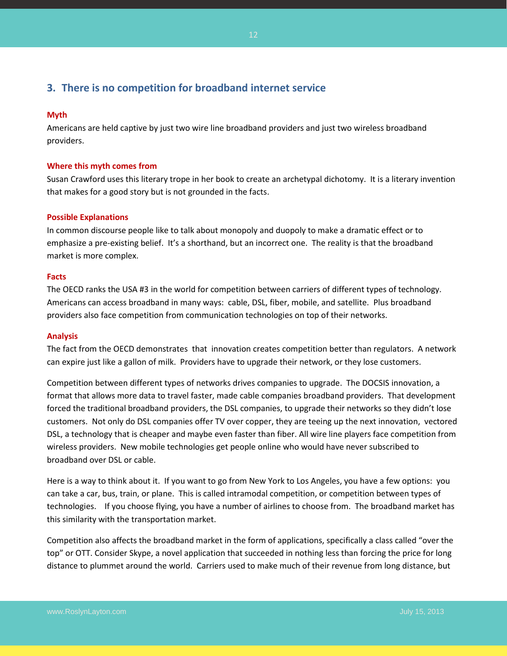## <span id="page-11-0"></span>**3. There is no competition for broadband internet service**

#### **Myth**

Americans are held captive by just two wire line broadband providers and just two wireless broadband providers.

#### **Where this myth comes from**

Susan Crawford uses this literary trope in her book to create an archetypal dichotomy. It is a literary invention that makes for a good story but is not grounded in the facts.

#### **Possible Explanations**

In common discourse people like to talk about monopoly and duopoly to make a dramatic effect or to emphasize a pre-existing belief. It's a shorthand, but an incorrect one. The reality is that the broadband market is more complex.

#### **Facts**

The OECD ranks the USA #3 in the world for competition between carriers of different types of technology. Americans can access broadband in many ways: cable, DSL, fiber, mobile, and satellite. Plus broadband providers also face competition from communication technologies on top of their networks.

#### **Analysis**

The fact from the OECD demonstrates that innovation creates competition better than regulators. A network can expire just like a gallon of milk. Providers have to upgrade their network, or they lose customers.

Competition between different types of networks drives companies to upgrade. The DOCSIS innovation, a format that allows more data to travel faster, made cable companies broadband providers. That development forced the traditional broadband providers, the DSL companies, to upgrade their networks so they didn't lose customers. Not only do DSL companies offer TV over copper, they are teeing up the next innovation, vectored DSL, a technology that is cheaper and maybe even faster than fiber. All wire line players face competition from wireless providers. New mobile technologies get people online who would have never subscribed to broadband over DSL or cable.

Here is a way to think about it. If you want to go from New York to Los Angeles, you have a few options: you can take a car, bus, train, or plane. This is called intramodal competition, or competition between types of technologies. If you choose flying, you have a number of airlines to choose from. The broadband market has this similarity with the transportation market.

Competition also affects the broadband market in the form of applications, specifically a class called "over the top" or OTT. Consider Skype, a novel application that succeeded in nothing less than forcing the price for long distance to plummet around the world. Carriers used to make much of their revenue from long distance, but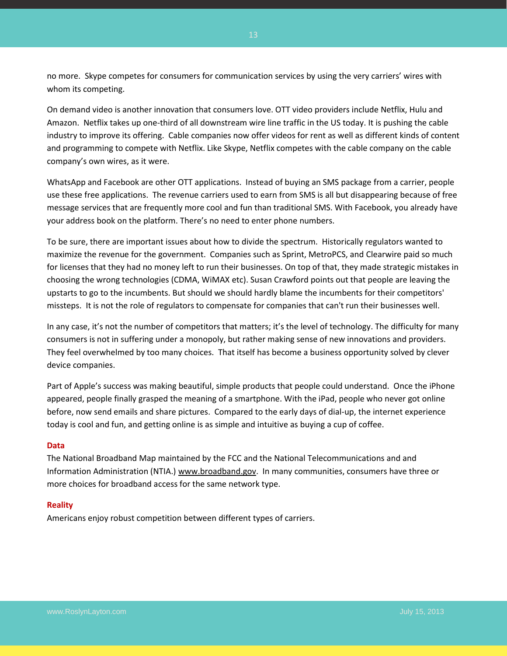no more. Skype competes for consumers for communication services by using the very carriers' wires with whom its competing.

On demand video is another innovation that consumers love. OTT video providers include Netflix, Hulu and Amazon. Netflix takes up one-third of all downstream wire line traffic in the US today. It is pushing the cable industry to improve its offering. Cable companies now offer videos for rent as well as different kinds of content and programming to compete with Netflix. Like Skype, Netflix competes with the cable company on the cable company's own wires, as it were.

WhatsApp and Facebook are other OTT applications. Instead of buying an SMS package from a carrier, people use these free applications. The revenue carriers used to earn from SMS is all but disappearing because of free message services that are frequently more cool and fun than traditional SMS. With Facebook, you already have your address book on the platform. There's no need to enter phone numbers.

To be sure, there are important issues about how to divide the spectrum. Historically regulators wanted to maximize the revenue for the government. Companies such as Sprint, MetroPCS, and Clearwire paid so much for licenses that they had no money left to run their businesses. On top of that, they made strategic mistakes in choosing the wrong technologies (CDMA, WiMAX etc). Susan Crawford points out that people are leaving the upstarts to go to the incumbents. But should we should hardly blame the incumbents for their competitors' missteps. It is not the role of regulators to compensate for companies that can't run their businesses well.

In any case, it's not the number of competitors that matters; it's the level of technology. The difficulty for many consumers is not in suffering under a monopoly, but rather making sense of new innovations and providers. They feel overwhelmed by too many choices. That itself has become a business opportunity solved by clever device companies.

Part of Apple's success was making beautiful, simple products that people could understand. Once the iPhone appeared, people finally grasped the meaning of a smartphone. With the iPad, people who never got online before, now send emails and share pictures. Compared to the early days of dial-up, the internet experience today is cool and fun, and getting online is as simple and intuitive as buying a cup of coffee.

#### **Data**

The National Broadband Map maintained by the FCC and the National Telecommunications and and Information Administration (NTIA.) [www.broadband.gov.](http://www.broadband.gov/) In many communities, consumers have three or more choices for broadband access for the same network type.

#### **Reality**

Americans enjoy robust competition between different types of carriers.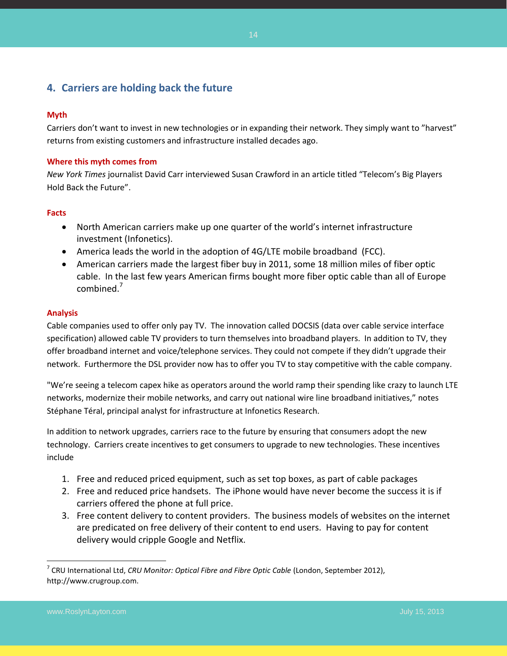## <span id="page-13-0"></span>**4. Carriers are holding back the future**

#### **Myth**

Carriers don't want to invest in new technologies or in expanding their network. They simply want to "harvest" returns from existing customers and infrastructure installed decades ago.

#### **Where this myth comes from**

*New York Times* journalist David Carr interviewed Susan Crawford in an article titled "Telecom's Big Players Hold Back the Future".

#### **Facts**

- North American carriers make up one quarter of the world's internet infrastructure investment (Infonetics).
- America leads the world in the adoption of 4G/LTE mobile broadband (FCC).
- American carriers made the largest fiber buy in 2011, some 18 million miles of fiber optic cable. In the last few years American firms bought more fiber optic cable than all of Europe combined.<sup>7</sup>

#### **Analysis**

Cable companies used to offer only pay TV. The innovation called DOCSIS (data over cable service interface specification) allowed cable TV providers to turn themselves into broadband players. In addition to TV, they offer broadband internet and voice/telephone services. They could not compete if they didn't upgrade their network. Furthermore the DSL provider now has to offer you TV to stay competitive with the cable company.

"We're seeing a telecom capex hike as operators around the world ramp their spending like crazy to launch LTE networks, modernize their mobile networks, and carry out national wire line broadband initiatives," notes Stéphane Téral, principal analyst for infrastructure at Infonetics Research.

In addition to network upgrades, carriers race to the future by ensuring that consumers adopt the new technology. Carriers create incentives to get consumers to upgrade to new technologies. These incentives include

- 1. Free and reduced priced equipment, such as set top boxes, as part of cable packages
- 2. Free and reduced price handsets. The iPhone would have never become the success it is if carriers offered the phone at full price.
- 3. Free content delivery to content providers. The business models of websites on the internet are predicated on free delivery of their content to end users. Having to pay for content delivery would cripple Google and Netflix.

 $\overline{\phantom{a}}$ 

<sup>&</sup>lt;sup>7</sup> CRU International Ltd, *CRU Monitor: Optical Fibre and Fibre Optic Cable* (London, September 2012), http://www.crugroup.com.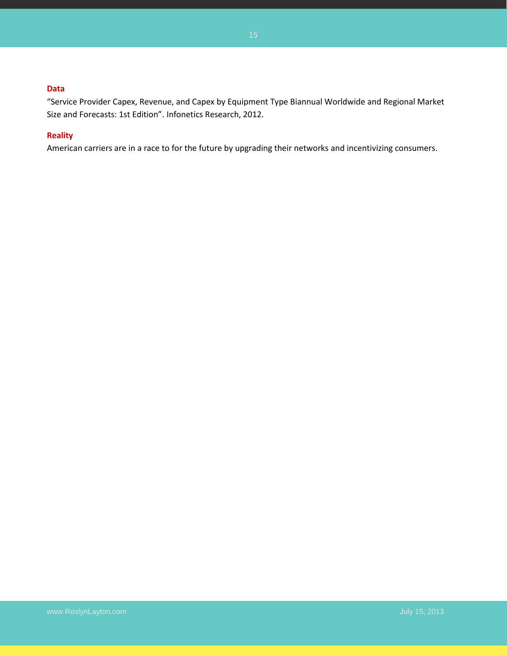#### **Data**

"Service Provider Capex, Revenue, and Capex by Equipment Type Biannual Worldwide and Regional Market Size and Forecasts: 1st Edition". Infonetics Research, 2012.

#### **Reality**

American carriers are in a race to for the future by upgrading their networks and incentivizing consumers.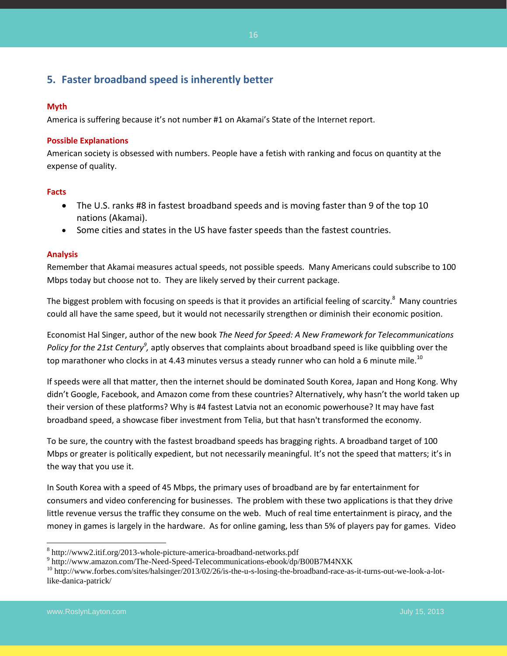## <span id="page-15-0"></span>**5. Faster broadband speed is inherently better**

#### **Myth**

America is suffering because it's not number #1 on Akamai's State of the Internet report.

#### **Possible Explanations**

American society is obsessed with numbers. People have a fetish with ranking and focus on quantity at the expense of quality.

#### **Facts**

- The U.S. ranks #8 in fastest broadband speeds and is moving faster than 9 of the top 10 nations (Akamai).
- Some cities and states in the US have faster speeds than the fastest countries.

#### **Analysis**

Remember that Akamai measures actual speeds, not possible speeds. Many Americans could subscribe to 100 Mbps today but choose not to. They are likely served by their current package.

The biggest problem with focusing on speeds is that it provides an artificial feeling of scarcity.<sup>8</sup> Many countries could all have the same speed, but it would not necessarily strengthen or diminish their economic position.

Economist Hal Singer, author of the new book *The Need for Speed: A New Framework for Telecommunications*  Policy for the 21st Century<sup>9</sup>, aptly observes that complaints about broadband speed is like quibbling over the top marathoner who clocks in at 4.43 minutes versus a steady runner who can hold a 6 minute mile.<sup>10</sup>

If speeds were all that matter, then the internet should be dominated South Korea, Japan and Hong Kong. Why didn't Google, Facebook, and Amazon come from these countries? Alternatively, why hasn't the world taken up their version of these platforms? Why is #4 fastest Latvia not an economic powerhouse? It may have fast broadband speed, a showcase fiber investment from Telia, but that hasn't transformed the economy.

To be sure, the country with the fastest broadband speeds has bragging rights. A broadband target of 100 Mbps or greater is politically expedient, but not necessarily meaningful. It's not the speed that matters; it's in the way that you use it.

In South Korea with a speed of 45 Mbps, the primary uses of broadband are by far entertainment for consumers and video conferencing for businesses. The problem with these two applications is that they drive little revenue versus the traffic they consume on the web. Much of real time entertainment is piracy, and the money in games is largely in the hardware. As for online gaming, less than 5% of players pay for games. Video

 $\overline{\phantom{a}}$ 

<sup>&</sup>lt;sup>8</sup> http://www2.itif.org/2013-whole-picture-america-broadband-networks.pdf

<sup>9</sup> http://www.amazon.com/The-Need-Speed-Telecommunications-ebook/dp/B00B7M4NXK

<sup>&</sup>lt;sup>10</sup> http://www.forbes.com/sites/halsinger/2013/02/26/is-the-u-s-losing-the-broadband-race-as-it-turns-out-we-look-a-lotlike-danica-patrick/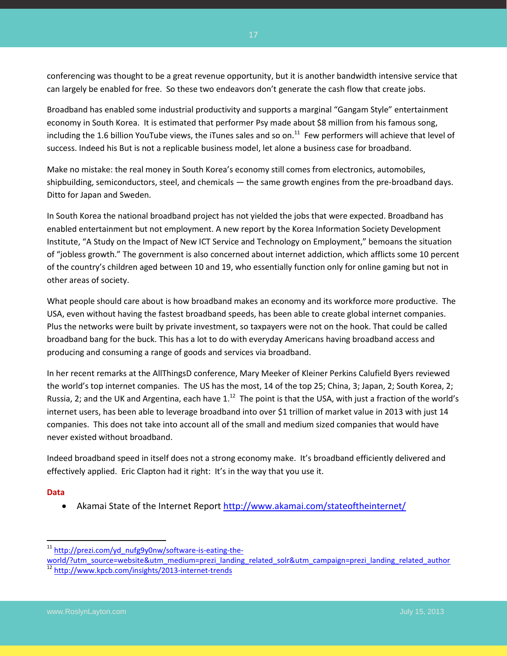conferencing was thought to be a great revenue opportunity, but it is another bandwidth intensive service that can largely be enabled for free. So these two endeavors don't generate the cash flow that create jobs.

Broadband has enabled some industrial productivity and supports a marginal "Gangam Style" entertainment economy in South Korea. It is estimated that performer Psy made about \$8 million from his famous song, including the 1.6 billion YouTube views, the iTunes sales and so on.<sup>11</sup> Few performers will achieve that level of success. Indeed his But is not a replicable business model, let alone a business case for broadband.

Make no mistake: the real money in South Korea's economy still comes from electronics, automobiles, shipbuilding, semiconductors, steel, and chemicals — the same growth engines from the pre-broadband days. Ditto for Japan and Sweden.

In South Korea the national broadband project has not yielded the jobs that were expected. Broadband has enabled entertainment but not employment. A new report by the Korea Information Society Development Institute, "A Study on the Impact of New ICT Service and Technology on Employment," bemoans the situation of "jobless growth." The government is also concerned about internet addiction, which afflicts some 10 percent of the country's children aged between 10 and 19, who essentially function only for online gaming but not in other areas of society.

What people should care about is how broadband makes an economy and its workforce more productive. The USA, even without having the fastest broadband speeds, has been able to create global internet companies. Plus the networks were built by private investment, so taxpayers were not on the hook. That could be called broadband bang for the buck. This has a lot to do with everyday Americans having broadband access and producing and consuming a range of goods and services via broadband.

In her recent remarks at the AllThingsD conference, Mary Meeker of Kleiner Perkins Calufield Byers reviewed the world's top internet companies. The US has the most, 14 of the top 25; China, 3; Japan, 2; South Korea, 2; Russia, 2; and the UK and Argentina, each have 1. $^{12}$  The point is that the USA, with just a fraction of the world's internet users, has been able to leverage broadband into over \$1 trillion of market value in 2013 with just 14 companies. This does not take into account all of the small and medium sized companies that would have never existed without broadband.

Indeed broadband speed in itself does not a strong economy make. It's broadband efficiently delivered and effectively applied. Eric Clapton had it right: It's in the way that you use it.

#### **Data**

 $\overline{a}$ 

Akamai State of the Internet Report<http://www.akamai.com/stateoftheinternet/>

[world/?utm\\_source=website&utm\\_medium=prezi\\_landing\\_related\\_solr&utm\\_campaign=prezi\\_landing\\_related\\_author](http://prezi.com/yd_nufg9y0nw/software-is-eating-the-world/?utm_source=website&utm_medium=prezi_landing_related_solr&utm_campaign=prezi_landing_related_author) <http://www.kpcb.com/insights/2013-internet-trends>

<sup>&</sup>lt;sup>11</sup> [http://prezi.com/yd\\_nufg9y0nw/software-is-eating-the-](http://prezi.com/yd_nufg9y0nw/software-is-eating-the-world/?utm_source=website&utm_medium=prezi_landing_related_solr&utm_campaign=prezi_landing_related_author)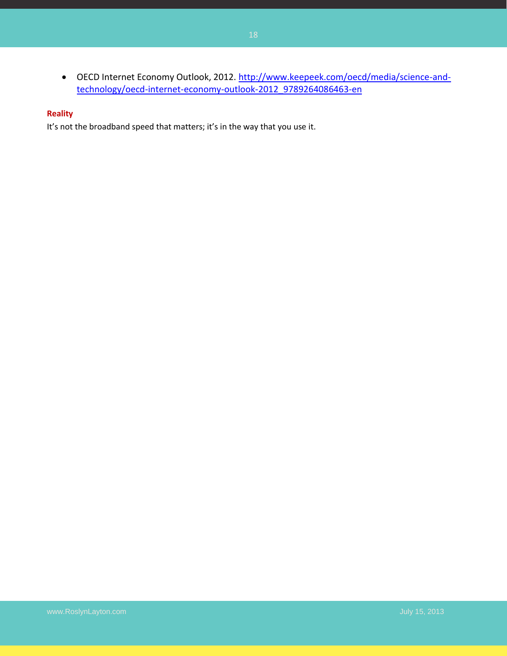OECD Internet Economy Outlook, 2012. [http://www.keepeek.com/oecd/media/science-and](http://www.keepeek.com/oecd/media/science-and-technology/oecd-internet-economy-outlook-2012_9789264086463-en)[technology/oecd-internet-economy-outlook-2012\\_9789264086463-en](http://www.keepeek.com/oecd/media/science-and-technology/oecd-internet-economy-outlook-2012_9789264086463-en)

#### **Reality**

It's not the broadband speed that matters; it's in the way that you use it.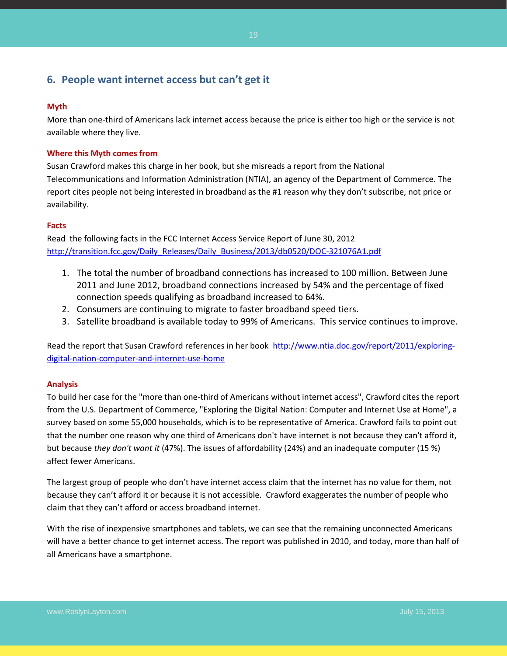## <span id="page-18-0"></span>**6. People want internet access but can't get it**

#### **Myth**

More than one-third of Americans lack internet access because the price is either too high or the service is not available where they live.

#### **Where this Myth comes from**

Susan Crawford makes this charge in her book, but she misreads a report from the National Telecommunications and Information Administration (NTIA), an agency of the Department of Commerce. The report cites people not being interested in broadband as the #1 reason why they don't subscribe, not price or availability.

#### **Facts**

Read the following facts in the FCC Internet Access Service Report of June 30, 2012 [http://transition.fcc.gov/Daily\\_Releases/Daily\\_Business/2013/db0520/DOC-321076A1.pdf](http://transition.fcc.gov/Daily_Releases/Daily_Business/2013/db0520/DOC-321076A1.pdf)

- 1. The total the number of broadband connections has increased to 100 million. Between June 2011 and June 2012, broadband connections increased by 54% and the percentage of fixed connection speeds qualifying as broadband increased to 64%.
- 2. Consumers are continuing to migrate to faster broadband speed tiers.
- 3. Satellite broadband is available today to 99% of Americans. This service continues to improve.

Read the report that Susan Crawford references in her book [http://www.ntia.doc.gov/report/2011/exploring](http://www.ntia.doc.gov/report/2011/exploring-digital-nation-computer-and-internet-use-home)[digital-nation-computer-and-internet-use-home](http://www.ntia.doc.gov/report/2011/exploring-digital-nation-computer-and-internet-use-home)

#### **Analysis**

To build her case for the "more than one-third of Americans without internet access", Crawford cites the report from the U.S. Department of Commerce, "Exploring the Digital Nation: Computer and Internet Use at Home", a survey based on some 55,000 households, which is to be representative of America. Crawford fails to point out that the number one reason why one third of Americans don't have internet is not because they can't afford it, but because *they don't want it* (47%). The issues of affordability (24%) and an inadequate computer (15 %) affect fewer Americans.

The largest group of people who don't have internet access claim that the internet has no value for them, not because they can't afford it or because it is not accessible. Crawford exaggerates the number of people who claim that they can't afford or access broadband internet.

With the rise of inexpensive smartphones and tablets, we can see that the remaining unconnected Americans will have a better chance to get internet access. The report was published in 2010, and today, more than half of all Americans have a smartphone.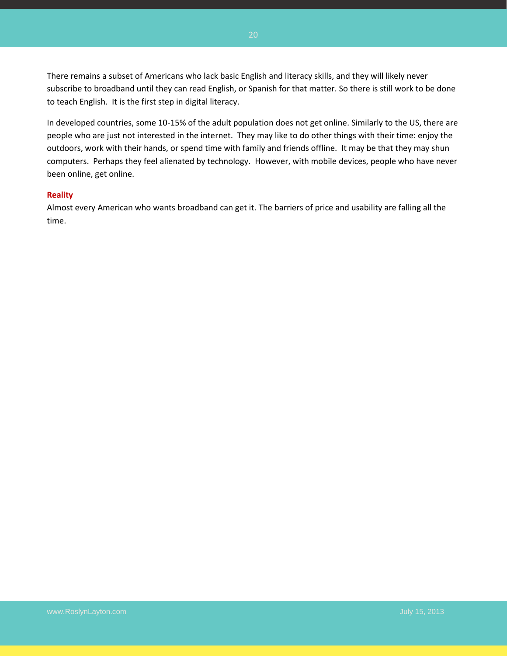There remains a subset of Americans who lack basic English and literacy skills, and they will likely never subscribe to broadband until they can read English, or Spanish for that matter. So there is still work to be done to teach English. It is the first step in digital literacy.

In developed countries, some 10-15% of the adult population does not get online. Similarly to the US, there are people who are just not interested in the internet. They may like to do other things with their time: enjoy the outdoors, work with their hands, or spend time with family and friends offline. It may be that they may shun computers. Perhaps they feel alienated by technology. However, with mobile devices, people who have never been online, get online.

#### **Reality**

Almost every American who wants broadband can get it. The barriers of price and usability are falling all the time.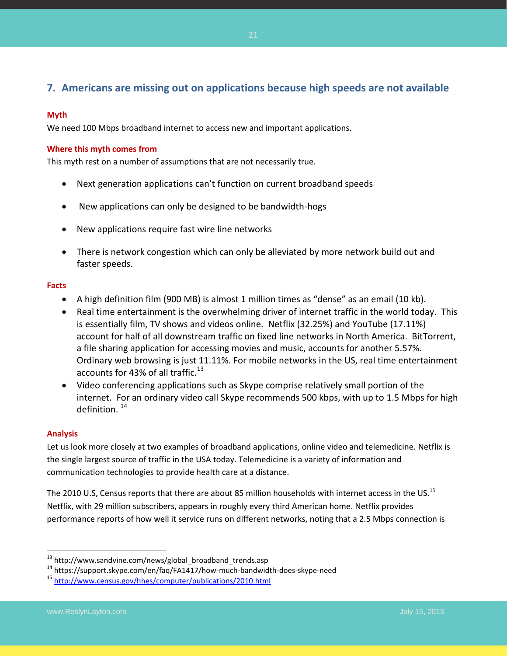## <span id="page-20-0"></span>**7. Americans are missing out on applications because high speeds are not available**

#### **Myth**

We need 100 Mbps broadband internet to access new and important applications.

#### **Where this myth comes from**

This myth rest on a number of assumptions that are not necessarily true.

- Next generation applications can't function on current broadband speeds
- New applications can only be designed to be bandwidth-hogs
- New applications require fast wire line networks
- There is network congestion which can only be alleviated by more network build out and faster speeds.

#### **Facts**

- A high definition film (900 MB) is almost 1 million times as "dense" as an email (10 kb).
- Real time entertainment is the overwhelming driver of internet traffic in the world today. This is essentially film, TV shows and videos online. Netflix (32.25%) and YouTube (17.11%) account for half of all downstream traffic on fixed line networks in North America. BitTorrent, a file sharing application for accessing movies and music, accounts for another 5.57%. Ordinary web browsing is just 11.11%. For mobile networks in the US, real time entertainment accounts for 43% of all traffic. $^{13}$
- Video conferencing applications such as Skype comprise relatively small portion of the internet. For an ordinary video call Skype recommends 500 kbps, with up to 1.5 Mbps for high definition. <sup>14</sup>

#### **Analysis**

 $\overline{\phantom{a}}$ 

Let us look more closely at two examples of broadband applications, online video and telemedicine. Netflix is the single largest source of traffic in the USA today. Telemedicine is a variety of information and communication technologies to provide health care at a distance.

The 2010 U.S, Census reports that there are about 85 million households with internet access in the US.<sup>15</sup> Netflix, with 29 million subscribers, appears in roughly every third American home. Netflix provides performance reports of how well it service runs on different networks, noting that a 2.5 Mbps connection is

<sup>&</sup>lt;sup>13</sup> http://www.sandvine.com/news/global\_broadband\_trends.asp

<sup>14</sup> https://support.skype.com/en/faq/FA1417/how-much-bandwidth-does-skype-need

<sup>15</sup> <http://www.census.gov/hhes/computer/publications/2010.html>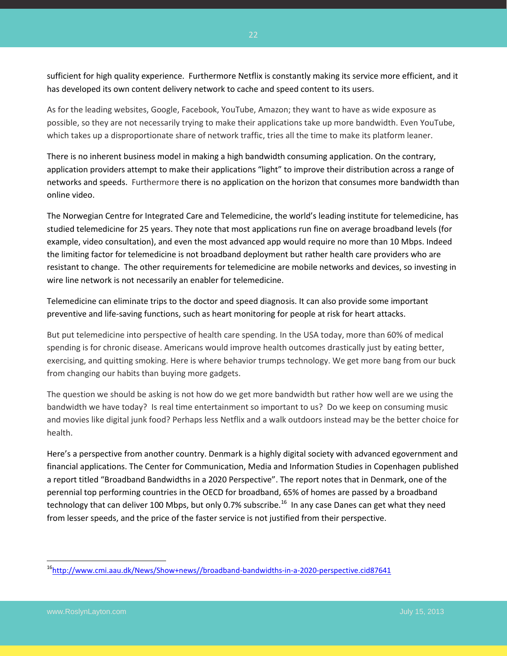sufficient for high quality experience. Furthermore Netflix is constantly making its service more efficient, and it has developed its own content delivery network to cache and speed content to its users.

As for the leading websites, Google, Facebook, YouTube, Amazon; they want to have as wide exposure as possible, so they are not necessarily trying to make their applications take up more bandwidth. Even YouTube, which takes up a disproportionate share of network traffic, tries all the time to make its platform leaner.

There is no inherent business model in making a high bandwidth consuming application. On the contrary, application providers attempt to make their applications "light" to improve their distribution across a range of networks and speeds. Furthermore there is no application on the horizon that consumes more bandwidth than online video.

The Norwegian Centre for Integrated Care and Telemedicine, the world's leading institute for telemedicine, has studied telemedicine for 25 years. They note that most applications run fine on average broadband levels (for example, video consultation), and even the most advanced app would require no more than 10 Mbps. Indeed the limiting factor for telemedicine is not broadband deployment but rather health care providers who are resistant to change. The other requirements for telemedicine are mobile networks and devices, so investing in wire line network is not necessarily an enabler for telemedicine.

Telemedicine can eliminate trips to the doctor and speed diagnosis. It can also provide some important preventive and life-saving functions, such as heart monitoring for people at risk for heart attacks.

But put telemedicine into perspective of health care spending. In the USA today, more than 60% of medical spending is for chronic disease. Americans would improve health outcomes drastically just by eating better, exercising, and quitting smoking. Here is where behavior trumps technology. We get more bang from our buck from changing our habits than buying more gadgets.

The question we should be asking is not how do we get more bandwidth but rather how well are we using the bandwidth we have today? Is real time entertainment so important to us? Do we keep on consuming music and movies like digital junk food? Perhaps less Netflix and a walk outdoors instead may be the better choice for health.

Here's a perspective from another country. Denmark is a highly digital society with advanced egovernment and financial applications. The Center for Communication, Media and Information Studies in Copenhagen published a report titled "Broadband Bandwidths in a 2020 Perspective". The report notes that in Denmark, one of the perennial top performing countries in the OECD for broadband, 65% of homes are passed by a broadband technology that can deliver 100 Mbps, but only 0.7% subscribe.<sup>16</sup> In any case Danes can get what they need from lesser speeds, and the price of the faster service is not justified from their perspective.

 $\overline{\phantom{a}}$ 

<sup>&</sup>lt;sup>16</sup>[http://www.cmi.aau.dk/News/Show+news//broadband-bandwidths-in-a-2020-perspective.cid87641](http://www.cmi.aau.dk/News/Show+news/broadband-bandwidths-in-a-2020-perspective.cid87641)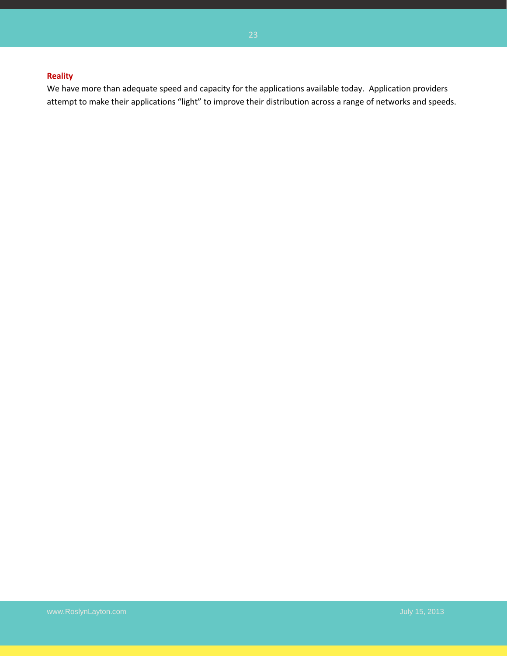### **Reality**

We have more than adequate speed and capacity for the applications available today. Application providers attempt to make their applications "light" to improve their distribution across a range of networks and speeds.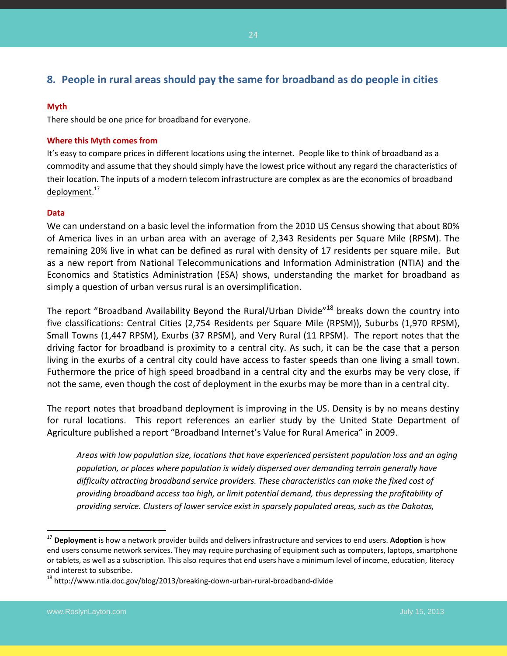## <span id="page-23-0"></span>**8. People in rural areas should pay the same for broadband as do people in cities**

#### **Myth**

There should be one price for broadband for everyone.

#### **Where this Myth comes from**

It's easy to compare prices in different locations using the internet. People like to think of broadband as a commodity and assume that they should simply have the lowest price without any regard the characteristics of their location. The inputs of a modern telecom infrastructure are complex as are the economics of broadband deployment.<sup>17</sup>

#### **Data**

We can understand on a basic level the information from the 2010 US Census showing that about 80% of America lives in an urban area with an average of 2,343 Residents per Square Mile (RPSM). The remaining 20% live in what can be defined as rural with density of 17 residents per square mile. But as a new report from National Telecommunications and Information Administration (NTIA) and the Economics and Statistics Administration (ESA) shows, understanding the market for broadband as simply a question of urban versus rural is an oversimplification.

The report "Broadband Availability Beyond the Rural/Urban Divide"<sup>18</sup> breaks down the country into five classifications: Central Cities (2,754 Residents per Square Mile (RPSM)), Suburbs (1,970 RPSM), Small Towns (1,447 RPSM), Exurbs (37 RPSM), and Very Rural (11 RPSM). The report notes that the driving factor for broadband is proximity to a central city. As such, it can be the case that a person living in the exurbs of a central city could have access to faster speeds than one living a small town. Futhermore the price of high speed broadband in a central city and the exurbs may be very close, if not the same, even though the cost of deployment in the exurbs may be more than in a central city.

The report notes that broadband deployment is improving in the US. Density is by no means destiny for rural locations. This report references an earlier study by the United State Department of Agriculture published a report "Broadband Internet's Value for Rural America" in 2009.

*Areas with low population size, locations that have experienced persistent population loss and an aging population, or places where population is widely dispersed over demanding terrain generally have difficulty attracting broadband service providers. These characteristics can make the fixed cost of providing broadband access too high, or limit potential demand, thus depressing the profitability of providing service. Clusters of lower service exist in sparsely populated areas, such as the Dakotas,* 

 $\overline{\phantom{a}}$ 

<sup>17</sup> **Deployment** is how a network provider builds and delivers infrastructure and services to end users. **Adoption** is how end users consume network services. They may require purchasing of equipment such as computers, laptops, smartphone or tablets, as well as a subscription. This also requires that end users have a minimum level of income, education, literacy and interest to subscribe.

 $^{18}$  http://www.ntia.doc.gov/blog/2013/breaking-down-urban-rural-broadband-divide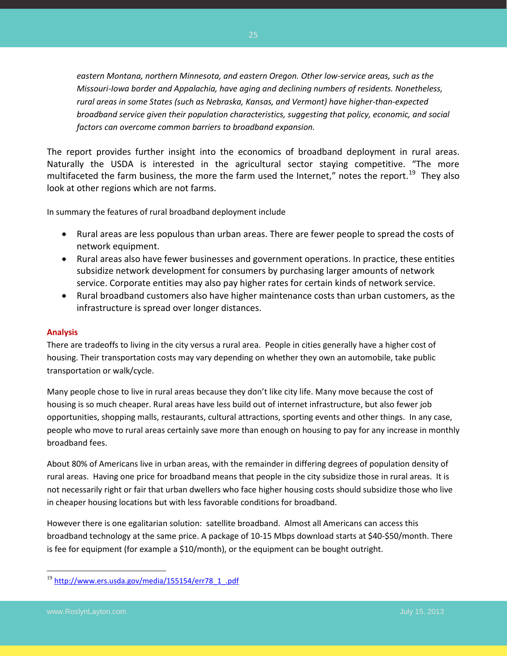*eastern Montana, northern Minnesota, and eastern Oregon. Other low-service areas, such as the Missouri-Iowa border and Appalachia, have aging and declining numbers of residents. Nonetheless, rural areas in some States (such as Nebraska, Kansas, and Vermont) have higher-than-expected broadband service given their population characteristics, suggesting that policy, economic, and social factors can overcome common barriers to broadband expansion.*

The report provides further insight into the economics of broadband deployment in rural areas. Naturally the USDA is interested in the agricultural sector staying competitive. "The more multifaceted the farm business, the more the farm used the Internet," notes the report.<sup>19</sup> They also look at other regions which are not farms.

In summary the features of rural broadband deployment include

- Rural areas are less populous than urban areas. There are fewer people to spread the costs of network equipment.
- Rural areas also have fewer businesses and government operations. In practice, these entities subsidize network development for consumers by purchasing larger amounts of network service. Corporate entities may also pay higher rates for certain kinds of network service.
- Rural broadband customers also have higher maintenance costs than urban customers, as the infrastructure is spread over longer distances.

#### **Analysis**

There are tradeoffs to living in the city versus a rural area. People in cities generally have a higher cost of housing. Their transportation costs may vary depending on whether they own an automobile, take public transportation or walk/cycle.

Many people chose to live in rural areas because they don't like city life. Many move because the cost of housing is so much cheaper. Rural areas have less build out of internet infrastructure, but also fewer job opportunities, shopping malls, restaurants, cultural attractions, sporting events and other things. In any case, people who move to rural areas certainly save more than enough on housing to pay for any increase in monthly broadband fees.

About 80% of Americans live in urban areas, with the remainder in differing degrees of population density of rural areas. Having one price for broadband means that people in the city subsidize those in rural areas. It is not necessarily right or fair that urban dwellers who face higher housing costs should subsidize those who live in cheaper housing locations but with less favorable conditions for broadband.

However there is one egalitarian solution: satellite broadband. Almost all Americans can access this broadband technology at the same price. A package of 10-15 Mbps download starts at \$40-\$50/month. There is fee for equipment (for example a \$10/month), or the equipment can be bought outright.

 $\overline{a}$ 

<sup>&</sup>lt;sup>19</sup> [http://www.ers.usda.gov/media/155154/err78\\_1\\_.pdf](http://www.ers.usda.gov/media/155154/err78_1_.pdf)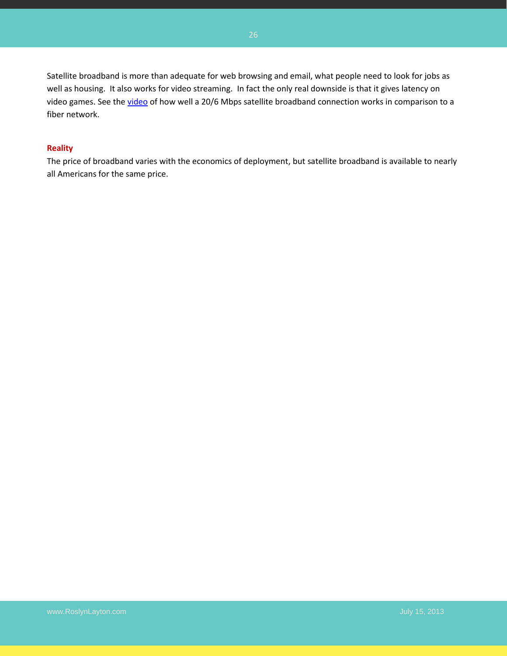Satellite broadband is more than adequate for web browsing and email, what people need to look for jobs as well as housing. It also works for video streaming. In fact the only real downside is that it gives latency on video games. See the [video](http://www.youtube.com/watch?v=KERymAViIgA) of how well a 20/6 Mbps satellite broadband connection works in comparison to a fiber network.

#### **Reality**

The price of broadband varies with the economics of deployment, but satellite broadband is available to nearly all Americans for the same price.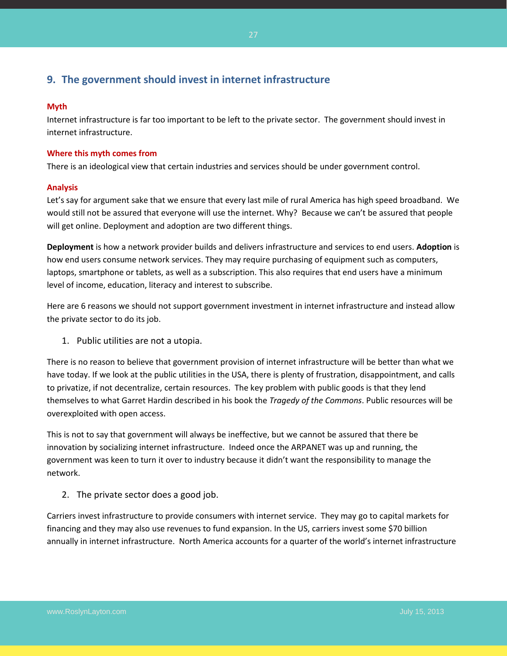## <span id="page-26-0"></span>**9. The government should invest in internet infrastructure**

#### **Myth**

Internet infrastructure is far too important to be left to the private sector. The government should invest in internet infrastructure.

#### **Where this myth comes from**

There is an ideological view that certain industries and services should be under government control.

#### **Analysis**

Let's say for argument sake that we ensure that every last mile of rural America has high speed broadband. We would still not be assured that everyone will use the internet. Why? Because we can't be assured that people will get online. Deployment and adoption are two different things.

**Deployment** is how a network provider builds and delivers infrastructure and services to end users. **Adoption** is how end users consume network services. They may require purchasing of equipment such as computers, laptops, smartphone or tablets, as well as a subscription. This also requires that end users have a minimum level of income, education, literacy and interest to subscribe.

Here are 6 reasons we should not support government investment in internet infrastructure and instead allow the private sector to do its job.

1. Public utilities are not a utopia.

There is no reason to believe that government provision of internet infrastructure will be better than what we have today. If we look at the public utilities in the USA, there is plenty of frustration, disappointment, and calls to privatize, if not decentralize, certain resources. The key problem with public goods is that they lend themselves to what Garret Hardin described in his book the *Tragedy of the Commons*. Public resources will be overexploited with open access.

This is not to say that government will always be ineffective, but we cannot be assured that there be innovation by socializing internet infrastructure. Indeed once the ARPANET was up and running, the government was keen to turn it over to industry because it didn't want the responsibility to manage the network.

2. The private sector does a good job.

Carriers invest infrastructure to provide consumers with internet service. They may go to capital markets for financing and they may also use revenues to fund expansion. In the US, carriers invest some \$70 billion annually in internet infrastructure. North America accounts for a quarter of the world's internet infrastructure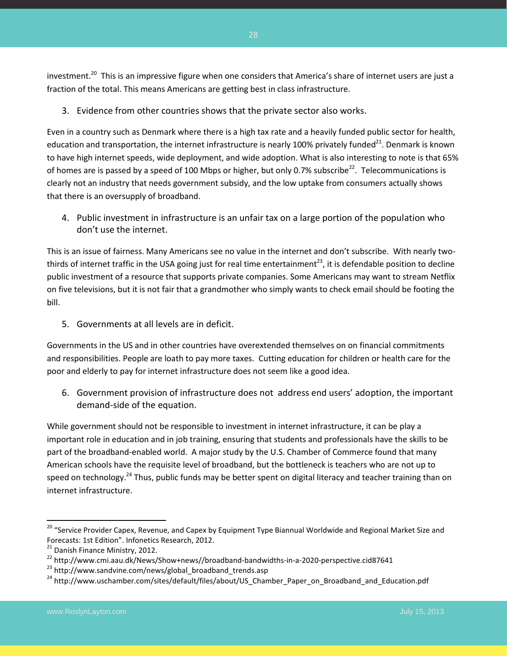investment.<sup>20</sup> This is an impressive figure when one considers that America's share of internet users are just a fraction of the total. This means Americans are getting best in class infrastructure.

3. Evidence from other countries shows that the private sector also works.

Even in a country such as Denmark where there is a high tax rate and a heavily funded public sector for health, education and transportation, the internet infrastructure is nearly 100% privately funded<sup>21</sup>. Denmark is known to have high internet speeds, wide deployment, and wide adoption. What is also interesting to note is that 65% of homes are is passed by a speed of 100 Mbps or higher, but only 0.7% subscribe<sup>22</sup>. Telecommunications is clearly not an industry that needs government subsidy, and the low uptake from consumers actually shows that there is an oversupply of broadband.

4. Public investment in infrastructure is an unfair tax on a large portion of the population who don't use the internet.

This is an issue of fairness. Many Americans see no value in the internet and don't subscribe. With nearly twothirds of internet traffic in the USA going just for real time entertainment<sup>23</sup>, it is defendable position to decline public investment of a resource that supports private companies. Some Americans may want to stream Netflix on five televisions, but it is not fair that a grandmother who simply wants to check email should be footing the bill.

5. Governments at all levels are in deficit.

Governments in the US and in other countries have overextended themselves on on financial commitments and responsibilities. People are loath to pay more taxes. Cutting education for children or health care for the poor and elderly to pay for internet infrastructure does not seem like a good idea.

6. Government provision of infrastructure does not address end users' adoption, the important demand-side of the equation.

While government should not be responsible to investment in internet infrastructure, it can be play a important role in education and in job training, ensuring that students and professionals have the skills to be part of the broadband-enabled world. A major study by the U.S. Chamber of Commerce found that many American schools have the requisite level of broadband, but the bottleneck is teachers who are not up to speed on technology.<sup>24</sup> Thus, public funds may be better spent on digital literacy and teacher training than on internet infrastructure.

 $\overline{a}$ 

<sup>&</sup>lt;sup>20</sup> "Service Provider Capex, Revenue, and Capex by Equipment Type Biannual Worldwide and Regional Market Size and Forecasts: 1st Edition". Infonetics Research, 2012.

<sup>&</sup>lt;sup>21</sup> Danish Finance Ministry, 2012.

<sup>22</sup> http://www.cmi.aau.dk/News/Show+news//broadband-bandwidths-in-a-2020-perspective.cid87641

<sup>&</sup>lt;sup>23</sup> http://www.sandvine.com/news/global\_broadband\_trends.asp

<sup>&</sup>lt;sup>24</sup> http://www.uschamber.com/sites/default/files/about/US\_Chamber\_Paper\_on\_Broadband\_and\_Education.pdf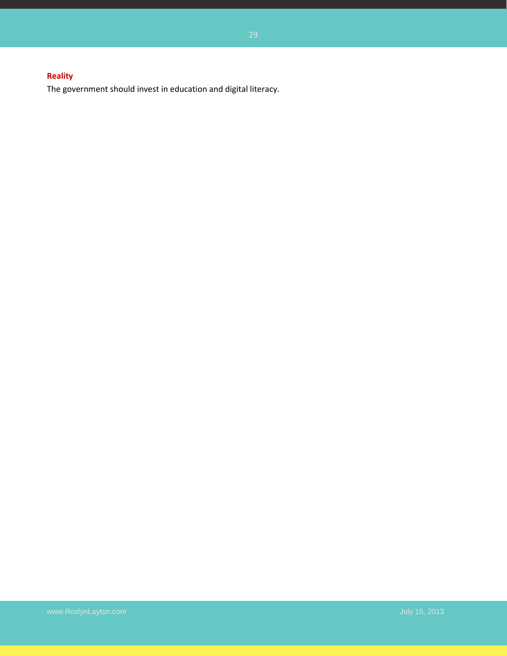## **Reality**

The government should invest in education and digital literacy.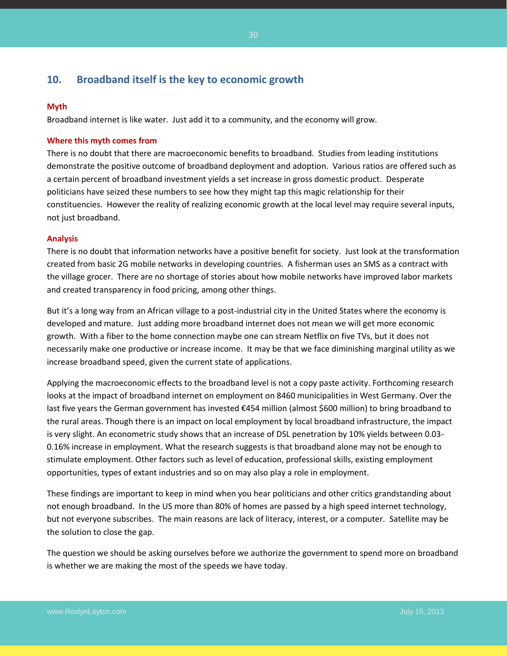## <span id="page-29-0"></span>**10. Broadband itself is the key to economic growth**

#### **Myth**

Broadband internet is like water. Just add it to a community, and the economy will grow.

#### **Where this myth comes from**

There is no doubt that there are macroeconomic benefits to broadband. Studies from leading institutions demonstrate the positive outcome of broadband deployment and adoption. Various ratios are offered such as a certain percent of broadband investment yields a set increase in gross domestic product. Desperate politicians have seized these numbers to see how they might tap this magic relationship for their constituencies. However the reality of realizing economic growth at the local level may require several inputs, not just broadband.

#### **Analysis**

There is no doubt that information networks have a positive benefit for society. Just look at the transformation created from basic 2G mobile networks in developing countries. A fisherman uses an SMS as a contract with the village grocer. There are no shortage of stories about how mobile networks have improved labor markets and created transparency in food pricing, among other things.

But it's a long way from an African village to a post-industrial city in the United States where the economy is developed and mature. Just adding more broadband internet does not mean we will get more economic growth. With a fiber to the home connection maybe one can stream Netflix on five TVs, but it does not necessarily make one productive or increase income. It may be that we face diminishing marginal utility as we increase broadband speed, given the current state of applications.

Applying the macroeconomic effects to the broadband level is not a copy paste activity. Forthcoming research looks at the impact of broadband internet on employment on 8460 municipalities in West Germany. Over the last five years the German government has invested €454 million (almost \$600 million) to bring broadband to the rural areas. Though there is an impact on local employment by local broadband infrastructure, the impact is very slight. An econometric study shows that an increase of DSL penetration by 10% yields between 0.03- 0.16% increase in employment. What the research suggests is that broadband alone may not be enough to stimulate employment. Other factors such as level of education, professional skills, existing employment opportunities, types of extant industries and so on may also play a role in employment.

These findings are important to keep in mind when you hear politicians and other critics grandstanding about not enough broadband. In the US more than 80% of homes are passed by a high speed internet technology, but not everyone subscribes. The main reasons are lack of literacy, interest, or a computer. Satellite may be the solution to close the gap.

The question we should be asking ourselves before we authorize the government to spend more on broadband is whether we are making the most of the speeds we have today.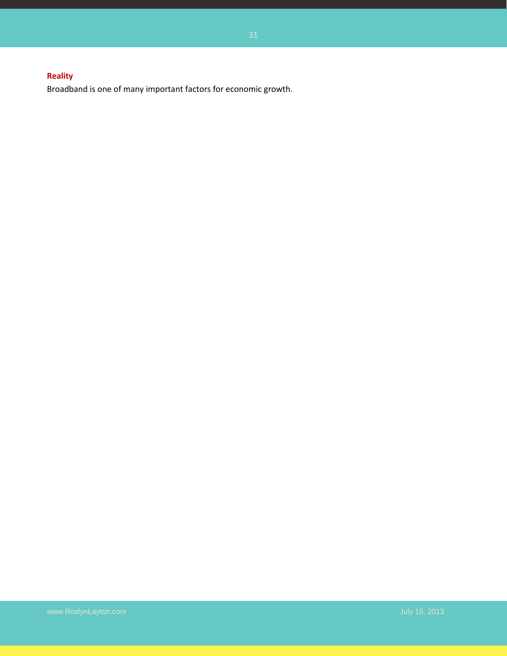## **Reality**

Broadband is one of many important factors for economic growth.